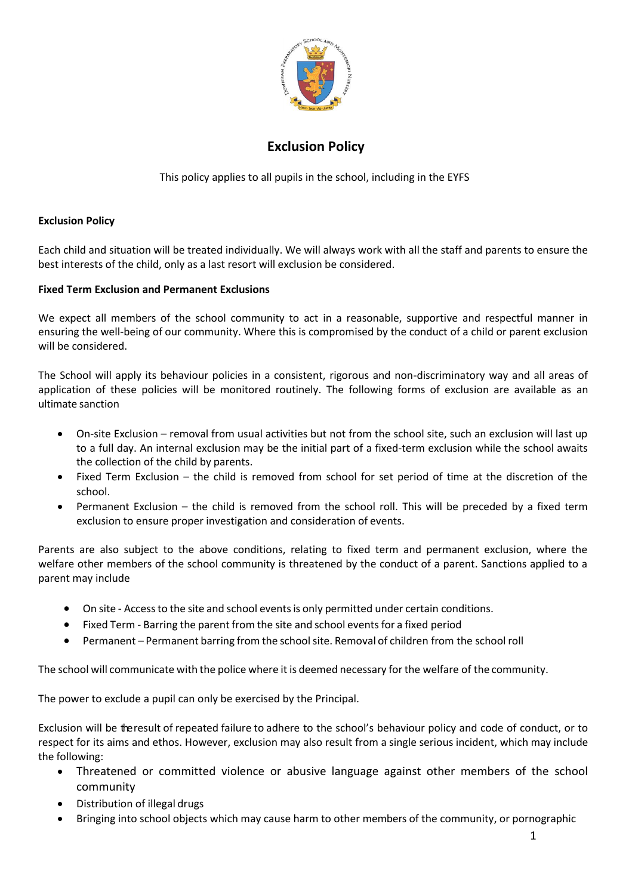

## **Exclusion Policy**

This policy applies to all pupils in the school, including in the EYFS

## **Exclusion Policy**

Each child and situation will be treated individually. We will always work with all the staff and parents to ensure the best interests of the child, only as a last resort will exclusion be considered.

## **Fixed Term Exclusion and Permanent Exclusions**

We expect all members of the school community to act in a reasonable, supportive and respectful manner in ensuring the well-being of our community. Where this is compromised by the conduct of a child or parent exclusion will be considered.

The School will apply its behaviour policies in a consistent, rigorous and non-discriminatory way and all areas of application of these policies will be monitored routinely. The following forms of exclusion are available as an ultimate sanction

- On-site Exclusion removal from usual activities but not from the school site, such an exclusion will last up to a full day. An internal exclusion may be the initial part of a fixed-term exclusion while the school awaits the collection of the child by parents.
- Fixed Term Exclusion the child is removed from school for set period of time at the discretion of the school.
- Permanent Exclusion the child is removed from the school roll. This will be preceded by a fixed term exclusion to ensure proper investigation and consideration of events.

Parents are also subject to the above conditions, relating to fixed term and permanent exclusion, where the welfare other members of the school community is threatened by the conduct of a parent. Sanctions applied to a parent may include

- On site Accessto the site and school eventsis only permitted under certain conditions.
- Fixed Term Barring the parent from the site and school eventsfor a fixed period
- Permanent Permanent barring from the school site. Removal of children from the school roll

The school will communicate with the police where it is deemed necessary forthe welfare of the community.

The power to exclude a pupil can only be exercised by the Principal.

Exclusion will be theresult of repeated failure to adhere to the school's behaviour policy and code of conduct, or to respect for its aims and ethos. However, exclusion may also result from a single serious incident, which may include the following:

- Threatened or committed violence or abusive language against other members of the school community
- Distribution of illegal drugs
- Bringing into school objects which may cause harm to other members of the community, or pornographic